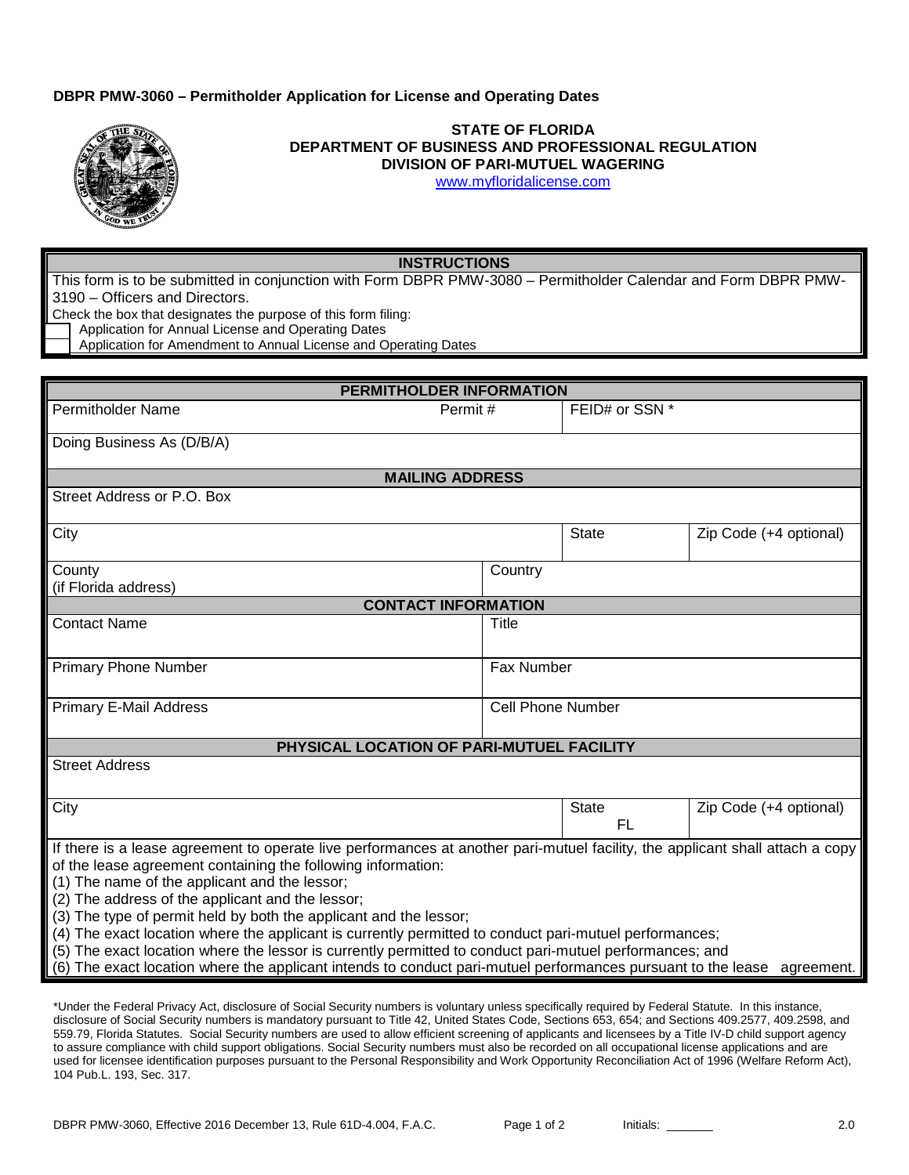## **DBPR PMW-3060 – Permitholder Application for License and Operating Dates**



## **STATE OF FLORIDA DEPARTMENT OF BUSINESS AND PROFESSIONAL REGULATION DIVISION OF PARI-MUTUEL WAGERING**

[www.myfloridalicense.com](http://www.myfloridalicense.com/)

## **INSTRUCTIONS**

This form is to be submitted in conjunction with Form DBPR PMW-3080 – Permitholder Calendar and Form DBPR PMW-3190 – Officers and Directors.

Check the box that designates the purpose of this form filing:

Application for Annual License and Operating Dates

Application for Amendment to Annual License and Operating Dates

| PERMITHOLDER INFORMATION                                                                                                                                                                                                                                                                                                                                                                                                                                                                                                                                                                                                                                                                                                |                          |                           |                        |  |  |  |
|-------------------------------------------------------------------------------------------------------------------------------------------------------------------------------------------------------------------------------------------------------------------------------------------------------------------------------------------------------------------------------------------------------------------------------------------------------------------------------------------------------------------------------------------------------------------------------------------------------------------------------------------------------------------------------------------------------------------------|--------------------------|---------------------------|------------------------|--|--|--|
| <b>Permitholder Name</b>                                                                                                                                                                                                                                                                                                                                                                                                                                                                                                                                                                                                                                                                                                | Permit#                  |                           | FEID# or SSN *         |  |  |  |
| Doing Business As (D/B/A)                                                                                                                                                                                                                                                                                                                                                                                                                                                                                                                                                                                                                                                                                               |                          |                           |                        |  |  |  |
| <b>MAILING ADDRESS</b>                                                                                                                                                                                                                                                                                                                                                                                                                                                                                                                                                                                                                                                                                                  |                          |                           |                        |  |  |  |
| Street Address or P.O. Box                                                                                                                                                                                                                                                                                                                                                                                                                                                                                                                                                                                                                                                                                              |                          |                           |                        |  |  |  |
| City                                                                                                                                                                                                                                                                                                                                                                                                                                                                                                                                                                                                                                                                                                                    |                          | State                     | Zip Code (+4 optional) |  |  |  |
| County<br>(if Florida address)                                                                                                                                                                                                                                                                                                                                                                                                                                                                                                                                                                                                                                                                                          | Country                  |                           |                        |  |  |  |
| <b>CONTACT INFORMATION</b>                                                                                                                                                                                                                                                                                                                                                                                                                                                                                                                                                                                                                                                                                              |                          |                           |                        |  |  |  |
| <b>Contact Name</b>                                                                                                                                                                                                                                                                                                                                                                                                                                                                                                                                                                                                                                                                                                     | Title                    |                           |                        |  |  |  |
| <b>Primary Phone Number</b>                                                                                                                                                                                                                                                                                                                                                                                                                                                                                                                                                                                                                                                                                             | <b>Fax Number</b>        |                           |                        |  |  |  |
| <b>Primary E-Mail Address</b>                                                                                                                                                                                                                                                                                                                                                                                                                                                                                                                                                                                                                                                                                           | <b>Cell Phone Number</b> |                           |                        |  |  |  |
| PHYSICAL LOCATION OF PARI-MUTUEL FACILITY                                                                                                                                                                                                                                                                                                                                                                                                                                                                                                                                                                                                                                                                               |                          |                           |                        |  |  |  |
| <b>Street Address</b>                                                                                                                                                                                                                                                                                                                                                                                                                                                                                                                                                                                                                                                                                                   |                          |                           |                        |  |  |  |
| City                                                                                                                                                                                                                                                                                                                                                                                                                                                                                                                                                                                                                                                                                                                    |                          | <b>State</b><br><b>FL</b> | Zip Code (+4 optional) |  |  |  |
| If there is a lease agreement to operate live performances at another pari-mutuel facility, the applicant shall attach a copy<br>of the lease agreement containing the following information:<br>(1) The name of the applicant and the lessor;<br>(2) The address of the applicant and the lessor;<br>(3) The type of permit held by both the applicant and the lessor;<br>(4) The exact location where the applicant is currently permitted to conduct pari-mutuel performances;<br>(5) The exact location where the lessor is currently permitted to conduct pari-mutuel performances; and<br>(6) The exact location where the applicant intends to conduct pari-mutuel performances pursuant to the lease agreement. |                          |                           |                        |  |  |  |

\*Under the Federal Privacy Act, disclosure of Social Security numbers is voluntary unless specifically required by Federal Statute. In this instance, disclosure of Social Security numbers is mandatory pursuant to Title 42, United States Code, Sections 653, 654; and Sections 409.2577, 409.2598, and 559.79, Florida Statutes. Social Security numbers are used to allow efficient screening of applicants and licensees by a Title IV-D child support agency to assure compliance with child support obligations. Social Security numbers must also be recorded on all occupational license applications and are used for licensee identification purposes pursuant to the Personal Responsibility and Work Opportunity Reconciliation Act of 1996 (Welfare Reform Act), 104 Pub.L. 193, Sec. 317.